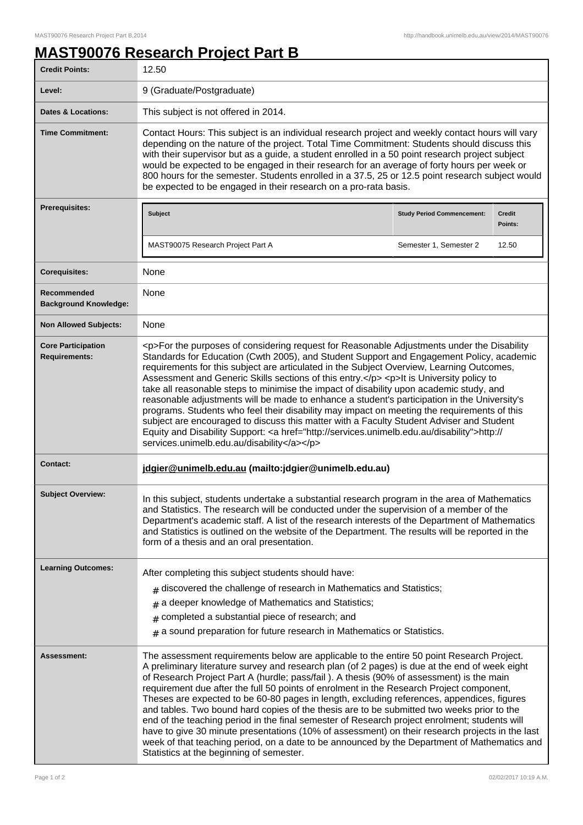## **MAST90076 Research Project Part B**

| <b>Credit Points:</b>                             | 12.50                                                                                                                                                                                                                                                                                                                                                                                                                                                                                                                                                                                                                                                                                                                                                                                                                                                                                                                           |                                   |                          |
|---------------------------------------------------|---------------------------------------------------------------------------------------------------------------------------------------------------------------------------------------------------------------------------------------------------------------------------------------------------------------------------------------------------------------------------------------------------------------------------------------------------------------------------------------------------------------------------------------------------------------------------------------------------------------------------------------------------------------------------------------------------------------------------------------------------------------------------------------------------------------------------------------------------------------------------------------------------------------------------------|-----------------------------------|--------------------------|
| Level:                                            | 9 (Graduate/Postgraduate)                                                                                                                                                                                                                                                                                                                                                                                                                                                                                                                                                                                                                                                                                                                                                                                                                                                                                                       |                                   |                          |
| <b>Dates &amp; Locations:</b>                     | This subject is not offered in 2014.                                                                                                                                                                                                                                                                                                                                                                                                                                                                                                                                                                                                                                                                                                                                                                                                                                                                                            |                                   |                          |
| <b>Time Commitment:</b>                           | Contact Hours: This subject is an individual research project and weekly contact hours will vary<br>depending on the nature of the project. Total Time Commitment: Students should discuss this<br>with their supervisor but as a guide, a student enrolled in a 50 point research project subject<br>would be expected to be engaged in their research for an average of forty hours per week or<br>800 hours for the semester. Students enrolled in a 37.5, 25 or 12.5 point research subject would<br>be expected to be engaged in their research on a pro-rata basis.                                                                                                                                                                                                                                                                                                                                                       |                                   |                          |
| <b>Prerequisites:</b>                             | Subject                                                                                                                                                                                                                                                                                                                                                                                                                                                                                                                                                                                                                                                                                                                                                                                                                                                                                                                         | <b>Study Period Commencement:</b> | <b>Credit</b><br>Points: |
|                                                   | MAST90075 Research Project Part A                                                                                                                                                                                                                                                                                                                                                                                                                                                                                                                                                                                                                                                                                                                                                                                                                                                                                               | Semester 1, Semester 2            | 12.50                    |
| <b>Corequisites:</b>                              | None                                                                                                                                                                                                                                                                                                                                                                                                                                                                                                                                                                                                                                                                                                                                                                                                                                                                                                                            |                                   |                          |
| Recommended<br><b>Background Knowledge:</b>       | None                                                                                                                                                                                                                                                                                                                                                                                                                                                                                                                                                                                                                                                                                                                                                                                                                                                                                                                            |                                   |                          |
| <b>Non Allowed Subjects:</b>                      | <b>None</b>                                                                                                                                                                                                                                                                                                                                                                                                                                                                                                                                                                                                                                                                                                                                                                                                                                                                                                                     |                                   |                          |
| <b>Core Participation</b><br><b>Requirements:</b> | <p>For the purposes of considering request for Reasonable Adjustments under the Disability<br/>Standards for Education (Cwth 2005), and Student Support and Engagement Policy, academic<br/>requirements for this subject are articulated in the Subject Overview, Learning Outcomes,<br/>Assessment and Generic Skills sections of this entry.</p> <p>lt is University policy to<br/>take all reasonable steps to minimise the impact of disability upon academic study, and<br/>reasonable adjustments will be made to enhance a student's participation in the University's<br/>programs. Students who feel their disability may impact on meeting the requirements of this<br/>subject are encouraged to discuss this matter with a Faculty Student Adviser and Student<br/>Equity and Disability Support: &lt; a href="http://services.unimelb.edu.au/disability"&gt;http://<br/>services.unimelb.edu.au/disability</p>    |                                   |                          |
| <b>Contact:</b>                                   | jdgier@unimelb.edu.au (mailto:jdgier@unimelb.edu.au)                                                                                                                                                                                                                                                                                                                                                                                                                                                                                                                                                                                                                                                                                                                                                                                                                                                                            |                                   |                          |
| <b>Subject Overview:</b>                          | In this subject, students undertake a substantial research program in the area of Mathematics<br>and Statistics. The research will be conducted under the supervision of a member of the<br>Department's academic staff. A list of the research interests of the Department of Mathematics<br>and Statistics is outlined on the website of the Department. The results will be reported in the<br>form of a thesis and an oral presentation.                                                                                                                                                                                                                                                                                                                                                                                                                                                                                    |                                   |                          |
| <b>Learning Outcomes:</b>                         | After completing this subject students should have:<br>$_{\text{\#}}$ discovered the challenge of research in Mathematics and Statistics;<br>$#$ a deeper knowledge of Mathematics and Statistics;<br>$#$ completed a substantial piece of research; and<br>$*$ a sound preparation for future research in Mathematics or Statistics.                                                                                                                                                                                                                                                                                                                                                                                                                                                                                                                                                                                           |                                   |                          |
| Assessment:                                       | The assessment requirements below are applicable to the entire 50 point Research Project.<br>A preliminary literature survey and research plan (of 2 pages) is due at the end of week eight<br>of Research Project Part A (hurdle; pass/fail). A thesis (90% of assessment) is the main<br>requirement due after the full 50 points of enrolment in the Research Project component,<br>Theses are expected to be 60-80 pages in length, excluding references, appendices, figures<br>and tables. Two bound hard copies of the thesis are to be submitted two weeks prior to the<br>end of the teaching period in the final semester of Research project enrolment; students will<br>have to give 30 minute presentations (10% of assessment) on their research projects in the last<br>week of that teaching period, on a date to be announced by the Department of Mathematics and<br>Statistics at the beginning of semester. |                                   |                          |